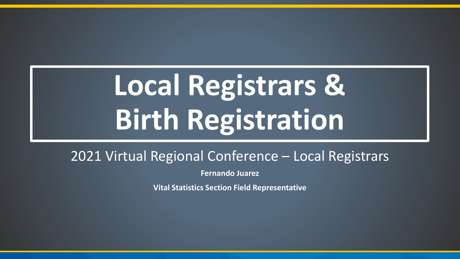# **Local Registrars & Birth Registration**

#### 2021 Virtual Regional Conference – Local Registrars

**Fernando Juarez**

**Vital Statistics Section Field Representative**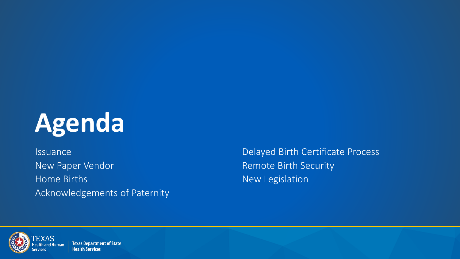

New Paper Vendor National According to the Remote Birth Security Home Births **New Legislation** Acknowledgements of Paternity

Issuance Delayed Birth Certificate Process



**Texas Department of State Health Services**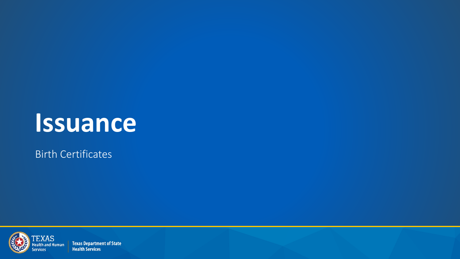## **Issuance**

Birth Certificates



**Texas Department of State Health Services**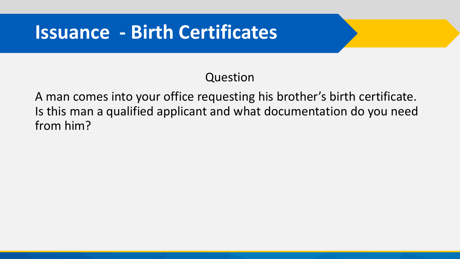#### Question

A man comes into your office requesting his brother's birth certificate. Is this man a qualified applicant and what documentation do you need from him?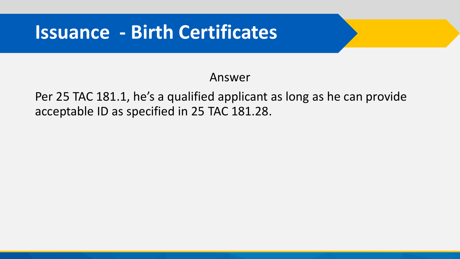#### Answer

Per 25 TAC 181.1, he's a qualified applicant as long as he can provide acceptable ID as specified in 25 TAC 181.28.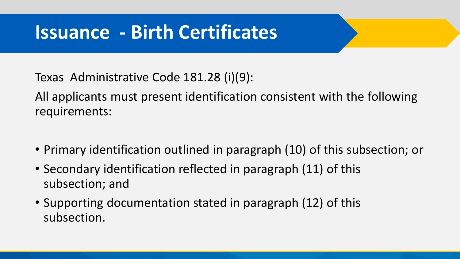Texas Administrative Code 181.28 (i)(9):

All applicants must present identification consistent with the following requirements:

- Primary identification outlined in paragraph (10) of this subsection; or
- Secondary identification reflected in paragraph (11) of this subsection; and
- Supporting documentation stated in paragraph (12) of this subsection.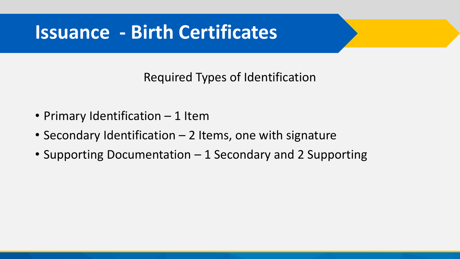Required Types of Identification

- Primary Identification 1 Item
- Secondary Identification 2 Items, one with signature
- Supporting Documentation 1 Secondary and 2 Supporting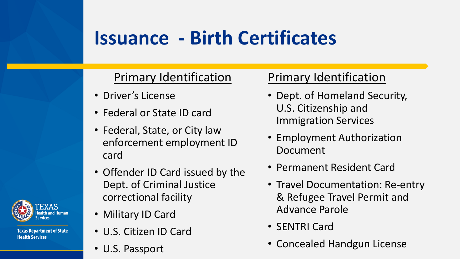#### Primary Identification

- Driver's License
- Federal or State ID card
- Federal, State, or City law enforcement employment ID card
- Offender ID Card issued by the Dept. of Criminal Justice correctional facility
- Military ID Card
- U.S. Citizen ID Card
- U.S. Passport

#### Primary Identification

- Dept. of Homeland Security, U.S. Citizenship and Immigration Services
- Employment Authorization Document
- Permanent Resident Card
- Travel Documentation: Re-entry & Refugee Travel Permit and Advance Parole
- SENTRI Card
- Concealed Handgun License



**Health Services** 

**Texas Department of State**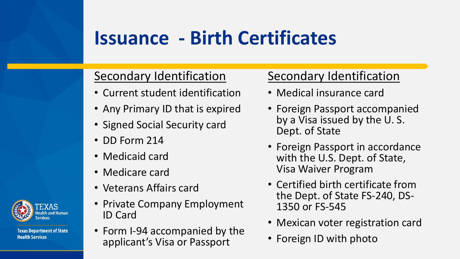#### Secondary Identification

- Current student identification
- Any Primary ID that is expired
- Signed Social Security card
- DD Form 214
- Medicaid card
- Medicare card
- Veterans Affairs card
- Private Company Employment ID Card
- Form I-94 accompanied by the applicant's Visa or Passport

#### Secondary Identification

- Medical insurance card
- Foreign Passport accompanied by a Visa issued by the U. S. Dept. of State
- Foreign Passport in accordance with the U.S. Dept. of State, Visa Waiver Program
- Certified birth certificate from the Dept. of State FS-240, DS-1350 or FS-545
- Mexican voter registration card
- Foreign ID with photo



**Health Services** 

**Texas Department of State**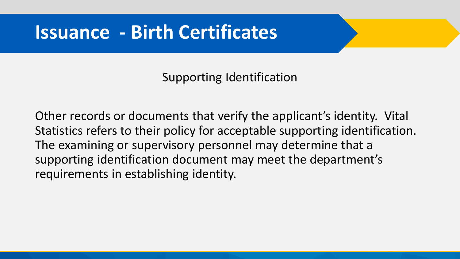Supporting Identification

Other records or documents that verify the applicant's identity. Vital Statistics refers to their policy for acceptable supporting identification. The examining or supervisory personnel may determine that a supporting identification document may meet the department's requirements in establishing identity.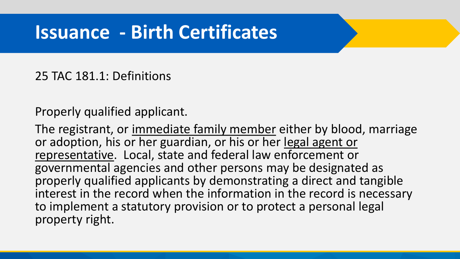#### 25 TAC 181.1: Definitions

Properly qualified applicant.

The registrant, or immediate family member either by blood, marriage or adoption, his or her guardian, or his or her legal agent or representative. Local, state and federal law enforcement or governmental agencies and other persons may be designated as properly qualified applicants by demonstrating a direct and tangible interest in the record when the information in the record is necessary to implement a statutory provision or to protect a personal legal property right.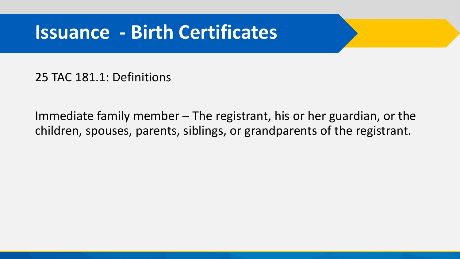25 TAC 181.1: Definitions

Immediate family member – The registrant, his or her guardian, or the children, spouses, parents, siblings, or grandparents of the registrant.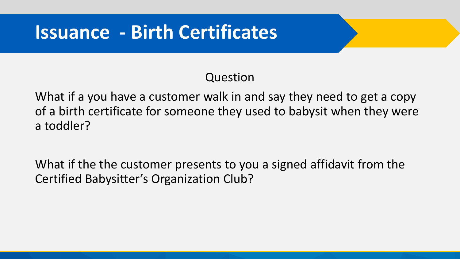#### Question

What if a you have a customer walk in and say they need to get a copy of a birth certificate for someone they used to babysit when they were a toddler?

What if the the customer presents to you a signed affidavit from the Certified Babysitter's Organization Club?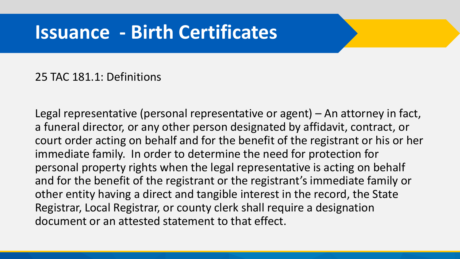#### 25 TAC 181.1: Definitions

Legal representative (personal representative or agent) – An attorney in fact, a funeral director, or any other person designated by affidavit, contract, or court order acting on behalf and for the benefit of the registrant or his or her immediate family. In order to determine the need for protection for personal property rights when the legal representative is acting on behalf and for the benefit of the registrant or the registrant's immediate family or other entity having a direct and tangible interest in the record, the State Registrar, Local Registrar, or county clerk shall require a designation document or an attested statement to that effect.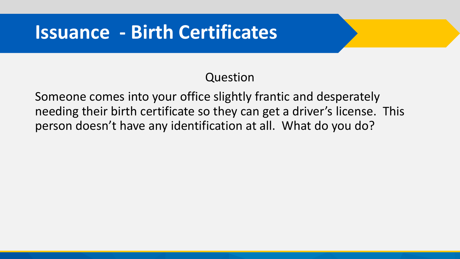#### Question

Someone comes into your office slightly frantic and desperately needing their birth certificate so they can get a driver's license. This person doesn't have any identification at all. What do you do?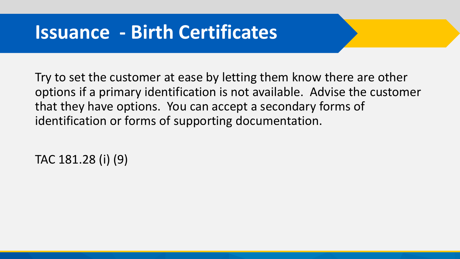Try to set the customer at ease by letting them know there are other options if a primary identification is not available. Advise the customer that they have options. You can accept a secondary forms of identification or forms of supporting documentation.

TAC 181.28 (i) (9)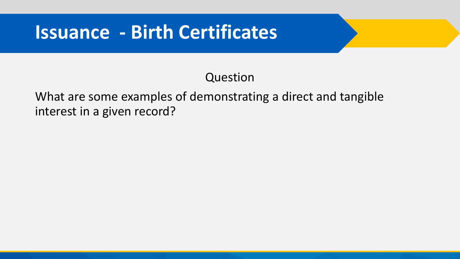#### Question

#### What are some examples of demonstrating a direct and tangible interest in a given record?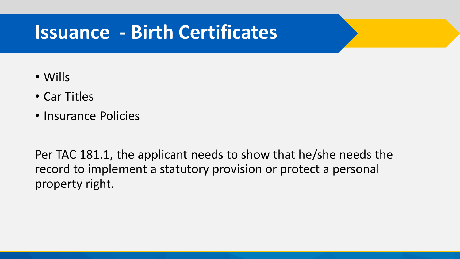- Wills
- Car Titles
- Insurance Policies

Per TAC 181.1, the applicant needs to show that he/she needs the record to implement a statutory provision or protect a personal property right.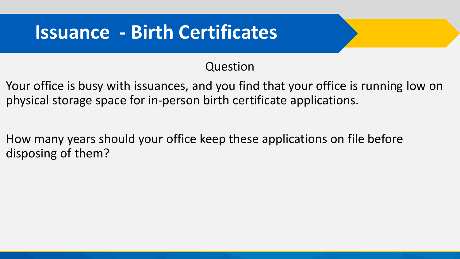#### Question

- Your office is busy with issuances, and you find that your office is running low on physical storage space for in-person birth certificate applications.
- How many years should your office keep these applications on file before disposing of them?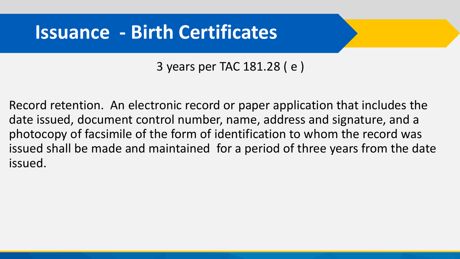3 years per TAC 181.28 ( e )

Record retention. An electronic record or paper application that includes the date issued, document control number, name, address and signature, and a photocopy of facsimile of the form of identification to whom the record was issued shall be made and maintained for a period of three years from the date issued.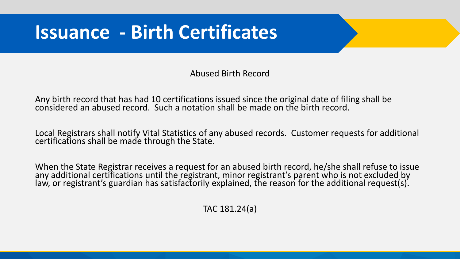Abused Birth Record

Any birth record that has had 10 certifications issued since the original date of filing shall be considered an abused record. Such a notation shall be made on the birth record.

Local Registrars shall notify Vital Statistics of any abused records. Customer requests for additional certifications shall be made through the State.

When the State Registrar receives a request for an abused birth record, he/she shall refuse to issue any additional certifications until the registrant, minor registrant's parent who is not excluded by law, or registrant's guardian has satisfactorily explained, the reason for the additional request(s).

TAC 181.24(a)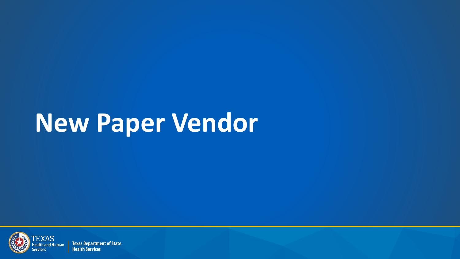

**Texas Department of State Health Services**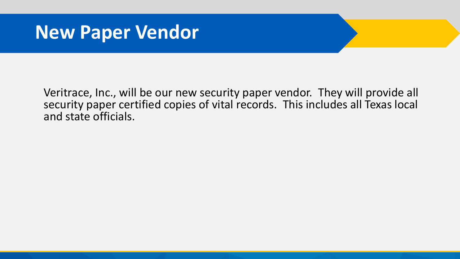Veritrace, Inc., will be our new security paper vendor. They will provide all security paper certified copies of vital records. This includes all Texas local and state officials.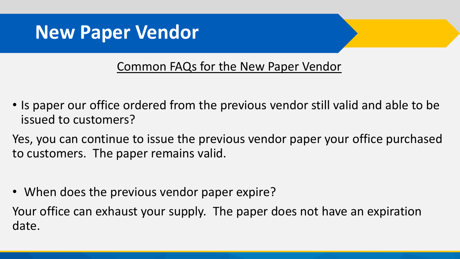#### Common FAQs for the New Paper Vendor

- Is paper our office ordered from the previous vendor still valid and able to be issued to customers?
- Yes, you can continue to issue the previous vendor paper your office purchased to customers. The paper remains valid.
- When does the previous vendor paper expire?

Your office can exhaust your supply. The paper does not have an expiration date.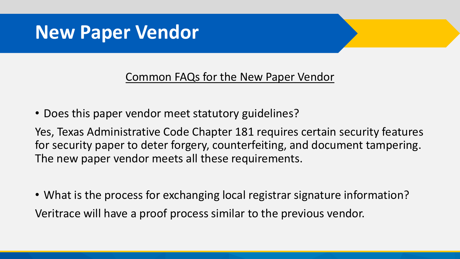#### Common FAQs for the New Paper Vendor

• Does this paper vendor meet statutory guidelines?

Yes, Texas Administrative Code Chapter 181 requires certain security features for security paper to deter forgery, counterfeiting, and document tampering. The new paper vendor meets all these requirements.

• What is the process for exchanging local registrar signature information? Veritrace will have a proof process similar to the previous vendor.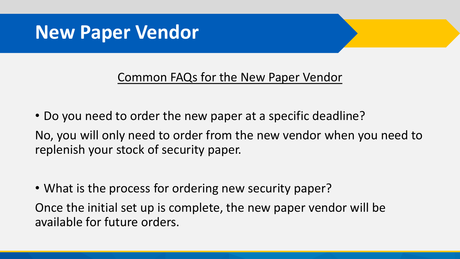#### Common FAQs for the New Paper Vendor

• Do you need to order the new paper at a specific deadline? No, you will only need to order from the new vendor when you need to replenish your stock of security paper.

• What is the process for ordering new security paper?

Once the initial set up is complete, the new paper vendor will be available for future orders.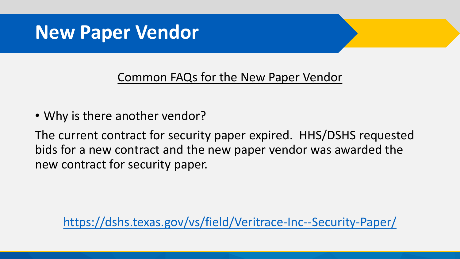#### Common FAQs for the New Paper Vendor

• Why is there another vendor?

The current contract for security paper expired. HHS/DSHS requested bids for a new contract and the new paper vendor was awarded the new contract for security paper.

<https://dshs.texas.gov/vs/field/Veritrace-Inc--Security-Paper/>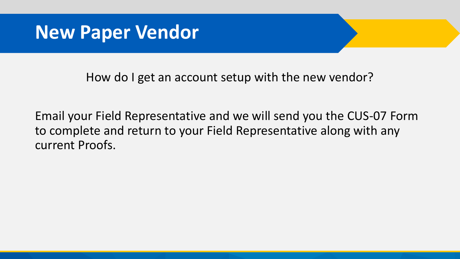How do I get an account setup with the new vendor?

Email your Field Representative and we will send you the CUS-07 Form to complete and return to your Field Representative along with any current Proofs.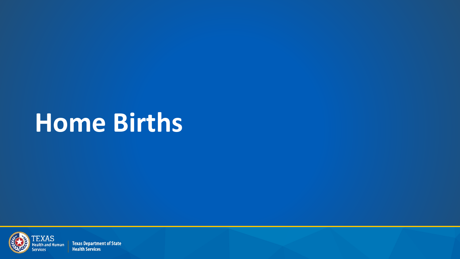

**Texas Department of State Health Services**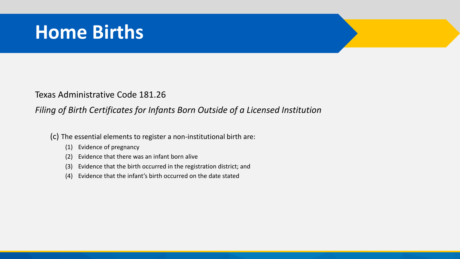Texas Administrative Code 181.26

#### *Filing of Birth Certificates for Infants Born Outside of a Licensed Institution*

(c) The essential elements to register a non-institutional birth are:

- (1) Evidence of pregnancy
- (2) Evidence that there was an infant born alive
- (3) Evidence that the birth occurred in the registration district; and
- (4) Evidence that the infant's birth occurred on the date stated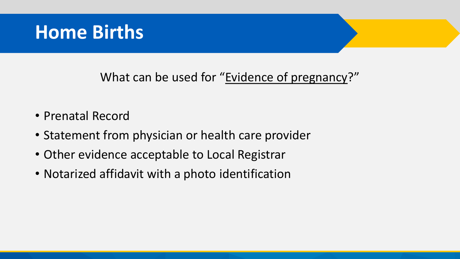#### What can be used for "Evidence of pregnancy?"

- Prenatal Record
- Statement from physician or health care provider
- Other evidence acceptable to Local Registrar
- Notarized affidavit with a photo identification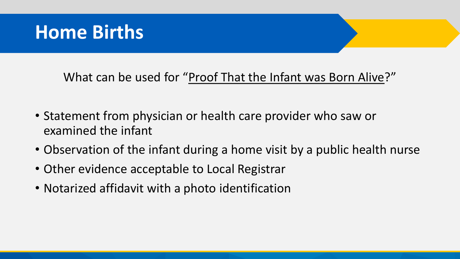What can be used for "Proof That the Infant was Born Alive?"

- Statement from physician or health care provider who saw or examined the infant
- Observation of the infant during a home visit by a public health nurse
- Other evidence acceptable to Local Registrar
- Notarized affidavit with a photo identification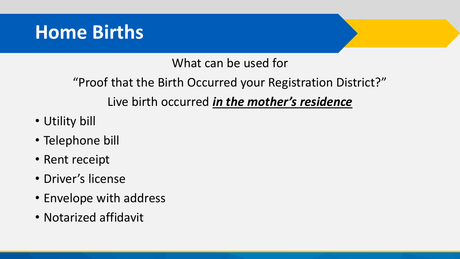#### What can be used for

"Proof that the Birth Occurred your Registration District?" Live birth occurred *in the mother's residence*

- Utility bill
- Telephone bill
- Rent receipt
- Driver's license
- Envelope with address
- Notarized affidavit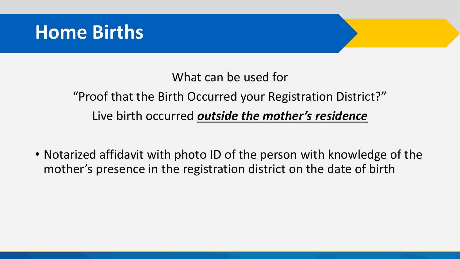#### What can be used for

"Proof that the Birth Occurred your Registration District?" Live birth occurred *outside the mother's residence*

• Notarized affidavit with photo ID of the person with knowledge of the mother's presence in the registration district on the date of birth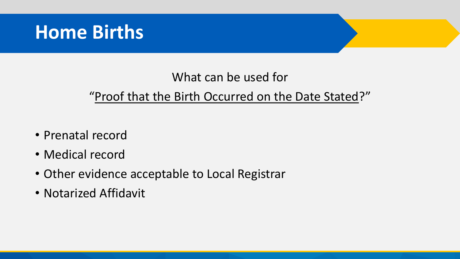#### What can be used for

#### "Proof that the Birth Occurred on the Date Stated?"

- Prenatal record
- Medical record
- Other evidence acceptable to Local Registrar
- Notarized Affidavit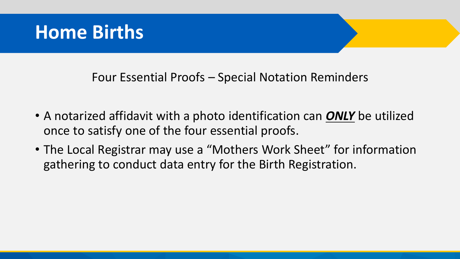#### Four Essential Proofs – Special Notation Reminders

- A notarized affidavit with a photo identification can *ONLY* be utilized once to satisfy one of the four essential proofs.
- The Local Registrar may use a "Mothers Work Sheet" for information gathering to conduct data entry for the Birth Registration.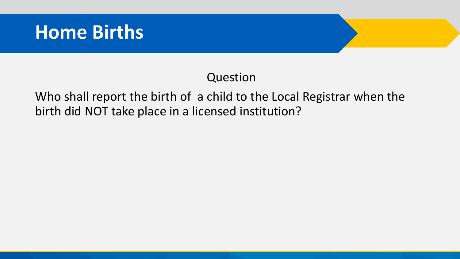#### Question

Who shall report the birth of a child to the Local Registrar when the birth did NOT take place in a licensed institution?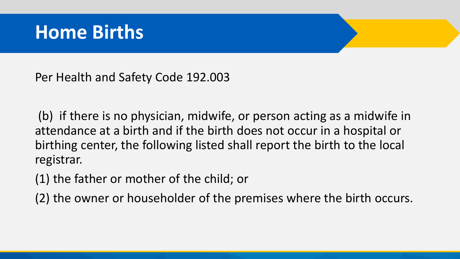Per Health and Safety Code 192.003

(b) if there is no physician, midwife, or person acting as a midwife in attendance at a birth and if the birth does not occur in a hospital or birthing center, the following listed shall report the birth to the local registrar.

(1) the father or mother of the child; or

(2) the owner or householder of the premises where the birth occurs.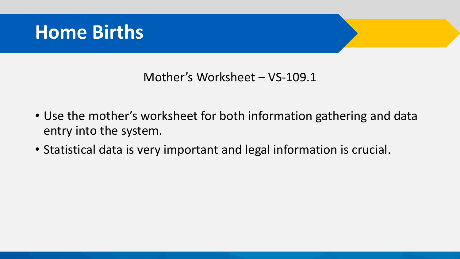#### Mother's Worksheet – VS-109.1

- Use the mother's worksheet for both information gathering and data entry into the system.
- Statistical data is very important and legal information is crucial.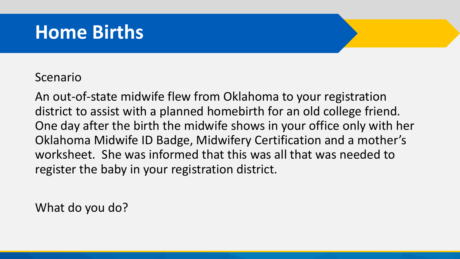#### Scenario

An out-of-state midwife flew from Oklahoma to your registration district to assist with a planned homebirth for an old college friend. One day after the birth the midwife shows in your office only with her Oklahoma Midwife ID Badge, Midwifery Certification and a mother's worksheet. She was informed that this was all that was needed to register the baby in your registration district.

What do you do?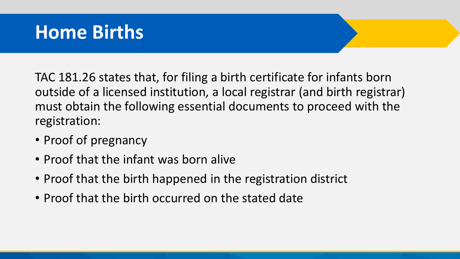TAC 181.26 states that, for filing a birth certificate for infants born outside of a licensed institution, a local registrar (and birth registrar) must obtain the following essential documents to proceed with the registration:

- Proof of pregnancy
- Proof that the infant was born alive
- Proof that the birth happened in the registration district
- Proof that the birth occurred on the stated date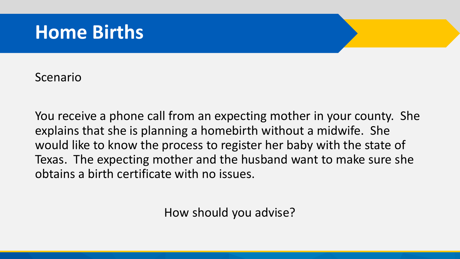Scenario

You receive a phone call from an expecting mother in your county. She explains that she is planning a homebirth without a midwife. She would like to know the process to register her baby with the state of Texas. The expecting mother and the husband want to make sure she obtains a birth certificate with no issues.

How should you advise?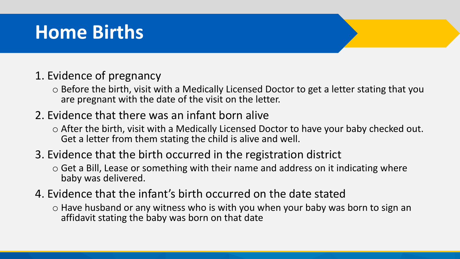#### 1. Evidence of pregnancy

o Before the birth, visit with a Medically Licensed Doctor to get a letter stating that you are pregnant with the date of the visit on the letter.

#### 2. Evidence that there was an infant born alive

o After the birth, visit with a Medically Licensed Doctor to have your baby checked out. Get a letter from them stating the child is alive and well.

#### 3. Evidence that the birth occurred in the registration district

- o Get a Bill, Lease or something with their name and address on it indicating where baby was delivered.
- 4. Evidence that the infant's birth occurred on the date stated
	- o Have husband or any witness who is with you when your baby was born to sign an affidavit stating the baby was born on that date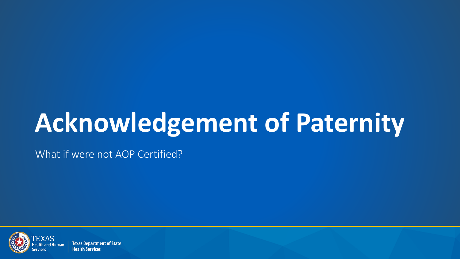What if were not AOP Certified?



**Texas Department of State Health Services**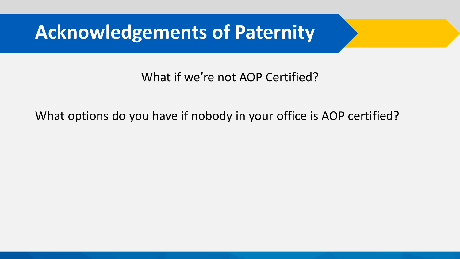#### What if we're not AOP Certified?

#### What options do you have if nobody in your office is AOP certified?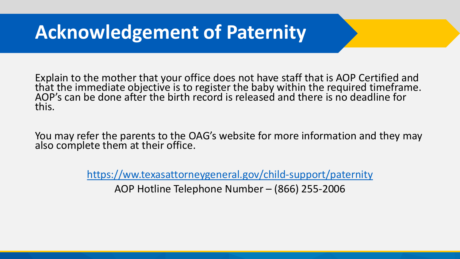Explain to the mother that your office does not have staff that is AOP Certified and that the immediate objective is to register the baby within the required timeframe. AOP's can be done after the birth record is released and there is no deadline for this.

You may refer the parents to the OAG's website for more information and they may also complete them at their office.

<https://ww.texasattorneygeneral.gov/child-support/paternity>

AOP Hotline Telephone Number – (866) 255-2006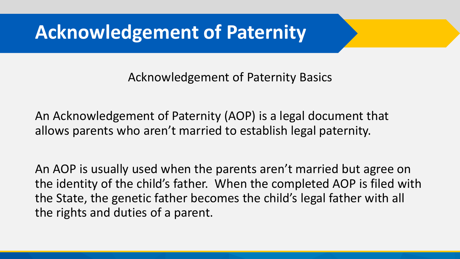Acknowledgement of Paternity Basics

An Acknowledgement of Paternity (AOP) is a legal document that allows parents who aren't married to establish legal paternity.

An AOP is usually used when the parents aren't married but agree on the identity of the child's father. When the completed AOP is filed with the State, the genetic father becomes the child's legal father with all the rights and duties of a parent.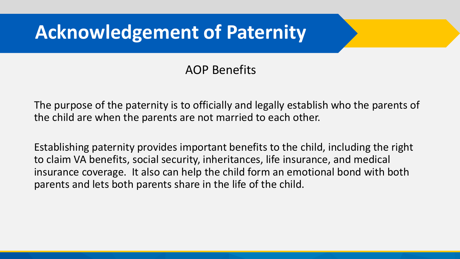#### AOP Benefits

The purpose of the paternity is to officially and legally establish who the parents of the child are when the parents are not married to each other.

Establishing paternity provides important benefits to the child, including the right to claim VA benefits, social security, inheritances, life insurance, and medical insurance coverage. It also can help the child form an emotional bond with both parents and lets both parents share in the life of the child.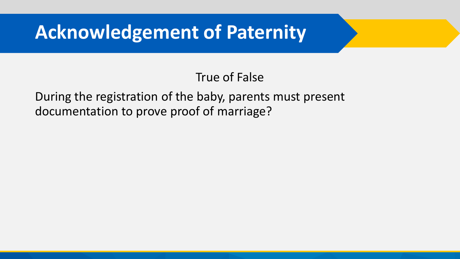#### True of False

During the registration of the baby, parents must present documentation to prove proof of marriage?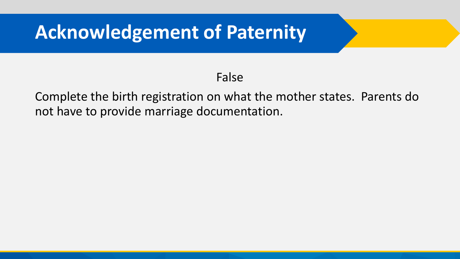#### False

Complete the birth registration on what the mother states. Parents do not have to provide marriage documentation.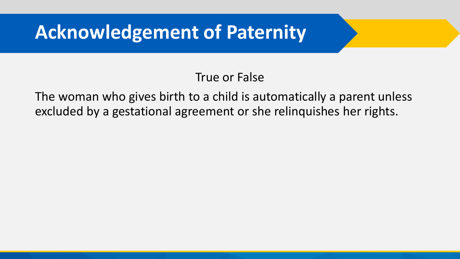#### True or False

The woman who gives birth to a child is automatically a parent unless excluded by a gestational agreement or she relinquishes her rights.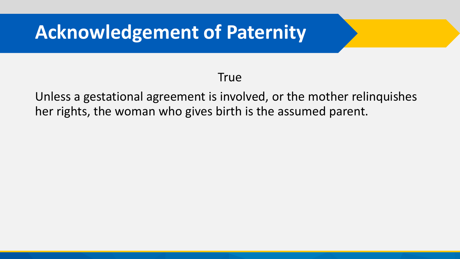#### **True**

Unless a gestational agreement is involved, or the mother relinquishes her rights, the woman who gives birth is the assumed parent.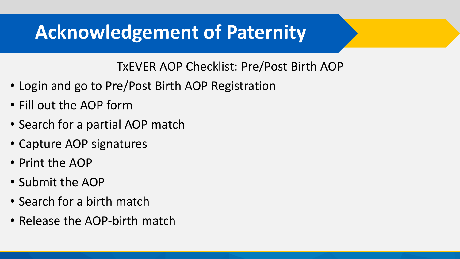TxEVER AOP Checklist: Pre/Post Birth AOP

- Login and go to Pre/Post Birth AOP Registration
- Fill out the AOP form
- Search for a partial AOP match
- Capture AOP signatures
- Print the AOP
- Submit the AOP
- Search for a birth match
- Release the AOP-birth match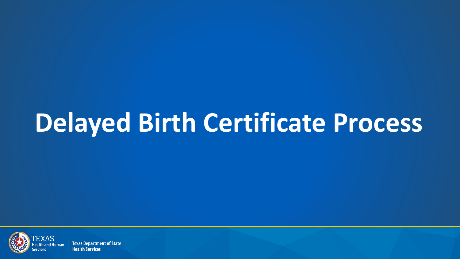

**Texas Department of State Health Services**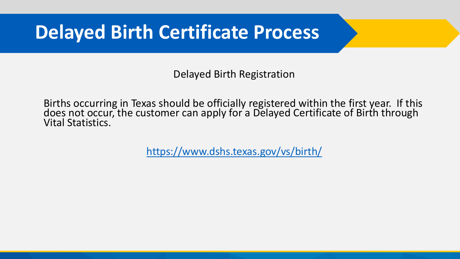Delayed Birth Registration

Births occurring in Texas should be officially registered within the first year. If this does not occur, the customer can apply for a Delayed Certificate of Birth through Vital Statistics.

<https://www.dshs.texas.gov/vs/birth/>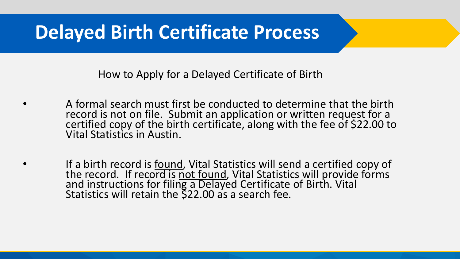How to Apply for a Delayed Certificate of Birth

- A formal search must first be conducted to determine that the birth record is not on file. Submit an application or written request for a certified copy of the birth certificate, along with the fee of \$22.00 to Vital Statistics in Austin.
- If a birth record is found, Vital Statistics will send a certified copy of the record. If record is not found, Vital Statistics will provide forms and instructions for filing a Delayed Certificate of Birth. Vital Statistics will retain the \$22.00 as a search fee.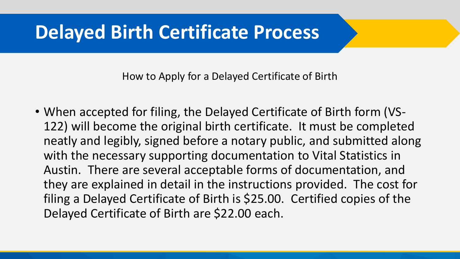How to Apply for a Delayed Certificate of Birth

• When accepted for filing, the Delayed Certificate of Birth form (VS-122) will become the original birth certificate. It must be completed neatly and legibly, signed before a notary public, and submitted along with the necessary supporting documentation to Vital Statistics in Austin. There are several acceptable forms of documentation, and they are explained in detail in the instructions provided. The cost for filing a Delayed Certificate of Birth is \$25.00. Certified copies of the Delayed Certificate of Birth are \$22.00 each.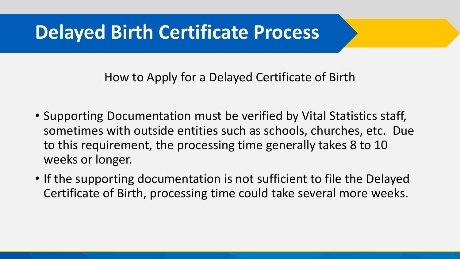How to Apply for a Delayed Certificate of Birth

- Supporting Documentation must be verified by Vital Statistics staff, sometimes with outside entities such as schools, churches, etc. Due to this requirement, the processing time generally takes 8 to 10 weeks or longer.
- If the supporting documentation is not sufficient to file the Delayed Certificate of Birth, processing time could take several more weeks.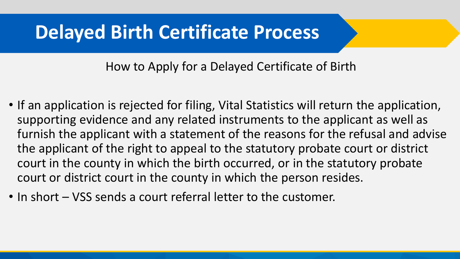How to Apply for a Delayed Certificate of Birth

- If an application is rejected for filing, Vital Statistics will return the application, supporting evidence and any related instruments to the applicant as well as furnish the applicant with a statement of the reasons for the refusal and advise the applicant of the right to appeal to the statutory probate court or district court in the county in which the birth occurred, or in the statutory probate court or district court in the county in which the person resides.
- In short VSS sends a court referral letter to the customer.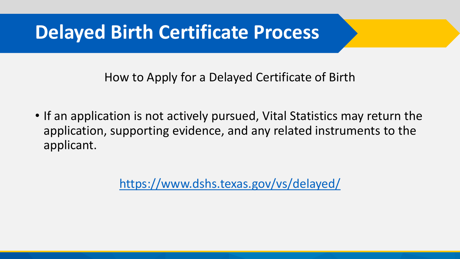How to Apply for a Delayed Certificate of Birth

• If an application is not actively pursued, Vital Statistics may return the application, supporting evidence, and any related instruments to the applicant.

<https://www.dshs.texas.gov/vs/delayed/>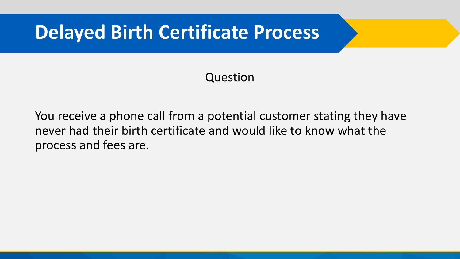#### Question

You receive a phone call from a potential customer stating they have never had their birth certificate and would like to know what the process and fees are.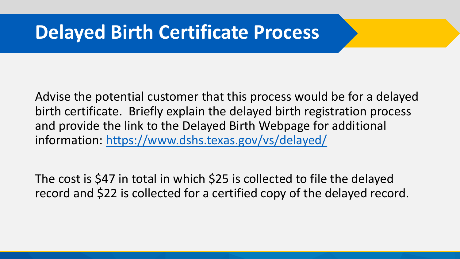Advise the potential customer that this process would be for a delayed birth certificate. Briefly explain the delayed birth registration process and provide the link to the Delayed Birth Webpage for additional information: <https://www.dshs.texas.gov/vs/delayed/>

The cost is \$47 in total in which \$25 is collected to file the delayed record and \$22 is collected for a certified copy of the delayed record.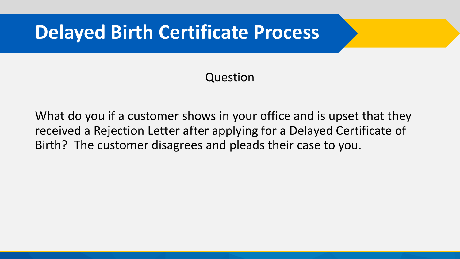#### Question

What do you if a customer shows in your office and is upset that they received a Rejection Letter after applying for a Delayed Certificate of Birth? The customer disagrees and pleads their case to you.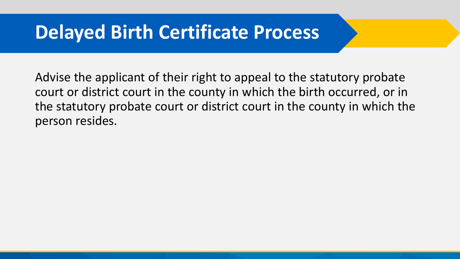Advise the applicant of their right to appeal to the statutory probate court or district court in the county in which the birth occurred, or in the statutory probate court or district court in the county in which the person resides.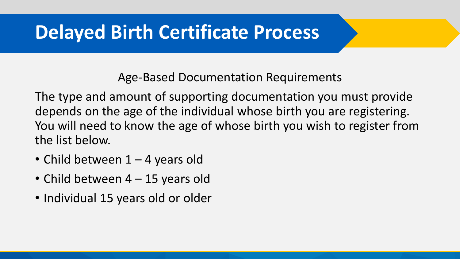Age-Based Documentation Requirements

The type and amount of supporting documentation you must provide depends on the age of the individual whose birth you are registering. You will need to know the age of whose birth you wish to register from the list below.

- Child between 1 4 years old
- Child between 4 15 years old
- Individual 15 years old or older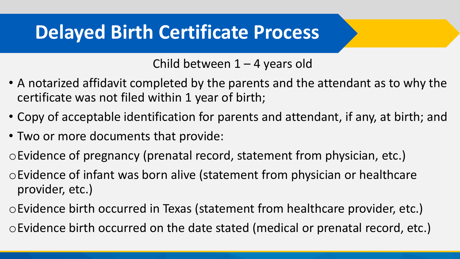Child between 1 – 4 years old

- A notarized affidavit completed by the parents and the attendant as to why the certificate was not filed within 1 year of birth;
- Copy of acceptable identification for parents and attendant, if any, at birth; and
- Two or more documents that provide:
- oEvidence of pregnancy (prenatal record, statement from physician, etc.)
- oEvidence of infant was born alive (statement from physician or healthcare provider, etc.)
- oEvidence birth occurred in Texas (statement from healthcare provider, etc.)
- oEvidence birth occurred on the date stated (medical or prenatal record, etc.)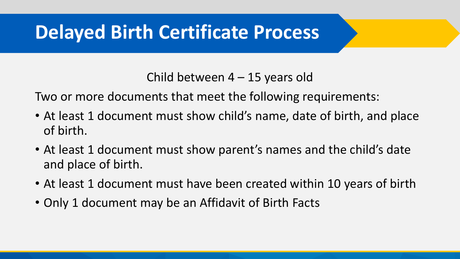Child between 4 – 15 years old

Two or more documents that meet the following requirements:

- At least 1 document must show child's name, date of birth, and place of birth.
- At least 1 document must show parent's names and the child's date and place of birth.
- At least 1 document must have been created within 10 years of birth
- Only 1 document may be an Affidavit of Birth Facts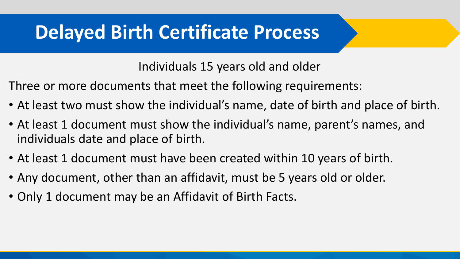Individuals 15 years old and older

Three or more documents that meet the following requirements:

- At least two must show the individual's name, date of birth and place of birth.
- At least 1 document must show the individual's name, parent's names, and individuals date and place of birth.
- At least 1 document must have been created within 10 years of birth.
- Any document, other than an affidavit, must be 5 years old or older.
- Only 1 document may be an Affidavit of Birth Facts.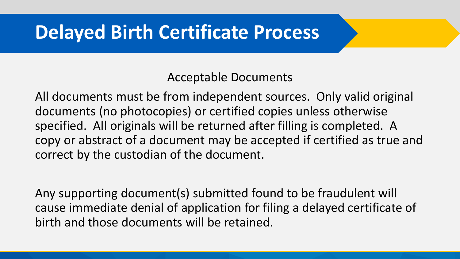Acceptable Documents

All documents must be from independent sources. Only valid original documents (no photocopies) or certified copies unless otherwise specified. All originals will be returned after filling is completed. A copy or abstract of a document may be accepted if certified as true and correct by the custodian of the document.

Any supporting document(s) submitted found to be fraudulent will cause immediate denial of application for filing a delayed certificate of birth and those documents will be retained.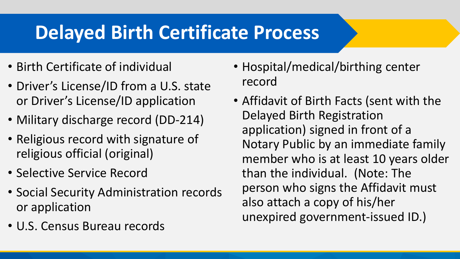- Birth Certificate of individual
- Driver's License/ID from a U.S. state or Driver's License/ID application
- Military discharge record (DD-214)
- Religious record with signature of religious official (original)
- Selective Service Record
- Social Security Administration records or application
- U.S. Census Bureau records
- Hospital/medical/birthing center record
- Affidavit of Birth Facts (sent with the Delayed Birth Registration application) signed in front of a Notary Public by an immediate family member who is at least 10 years older than the individual. (Note: The person who signs the Affidavit must also attach a copy of his/her unexpired government-issued ID.)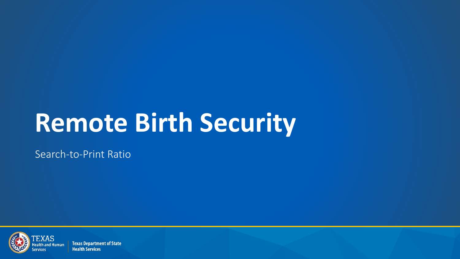# **Remote Birth Security**

Search-to-Print Ratio



**Texas Department of State Health Services**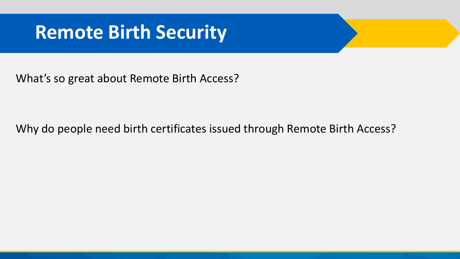### **Remote Birth Security**

What's so great about Remote Birth Access?

Why do people need birth certificates issued through Remote Birth Access?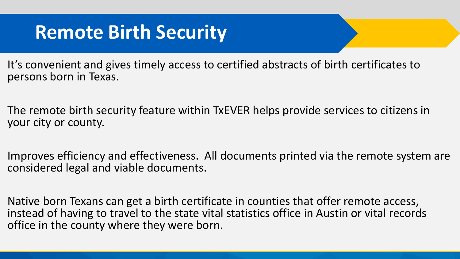It's convenient and gives timely access to certified abstracts of birth certificates to persons born in Texas.

The remote birth security feature within TxEVER helps provide services to citizens in your city or county.

Improves efficiency and effectiveness. All documents printed via the remote system are considered legal and viable documents.

Native born Texans can get a birth certificate in counties that offer remote access, instead of having to travel to the state vital statistics office in Austin or vital records office in the county where they were born.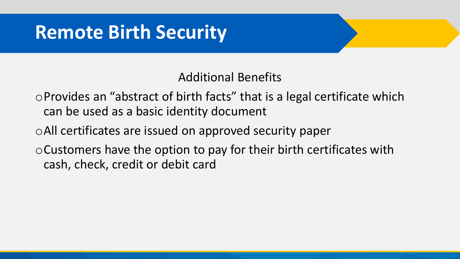#### Additional Benefits

oProvides an "abstract of birth facts" that is a legal certificate which can be used as a basic identity document

oAll certificates are issued on approved security paper

oCustomers have the option to pay for their birth certificates with cash, check, credit or debit card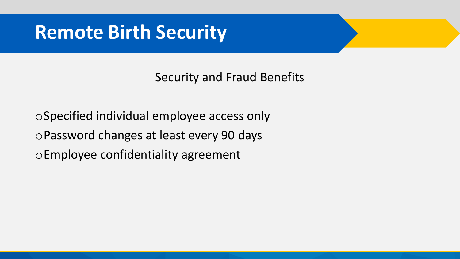Security and Fraud Benefits

oSpecified individual employee access only oPassword changes at least every 90 days oEmployee confidentiality agreement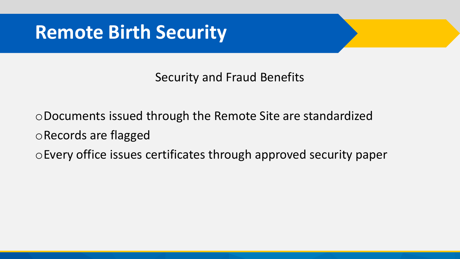#### Security and Fraud Benefits

oDocuments issued through the Remote Site are standardized oRecords are flagged oEvery office issues certificates through approved security paper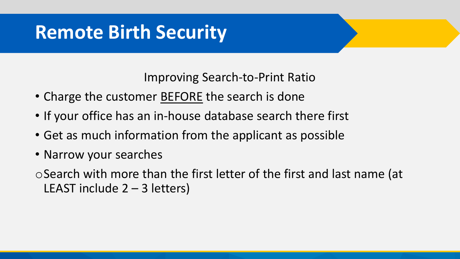Improving Search-to-Print Ratio

- Charge the customer **BEFORE** the search is done
- If your office has an in-house database search there first
- Get as much information from the applicant as possible
- Narrow your searches
- oSearch with more than the first letter of the first and last name (at LEAST include 2 – 3 letters)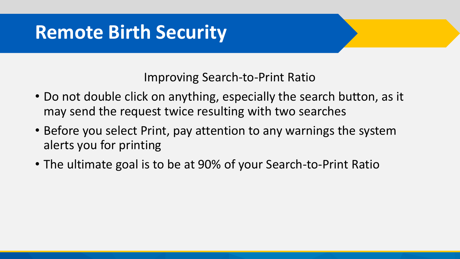Improving Search-to-Print Ratio

- Do not double click on anything, especially the search button, as it may send the request twice resulting with two searches
- Before you select Print, pay attention to any warnings the system alerts you for printing
- The ultimate goal is to be at 90% of your Search-to-Print Ratio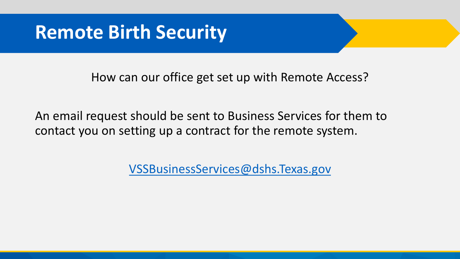How can our office get set up with Remote Access?

An email request should be sent to Business Services for them to contact you on setting up a contract for the remote system.

[VSSBusinessServices@dshs.Texas.gov](mailto:VSSBusinessServices@dshs.Texas.gov)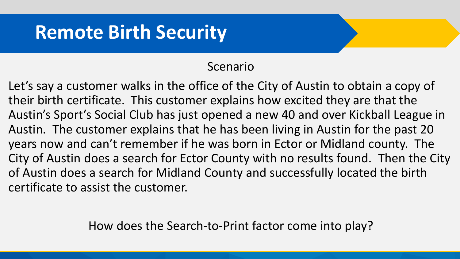#### Scenario

Let's say a customer walks in the office of the City of Austin to obtain a copy of their birth certificate. This customer explains how excited they are that the Austin's Sport's Social Club has just opened a new 40 and over Kickball League in Austin. The customer explains that he has been living in Austin for the past 20 years now and can't remember if he was born in Ector or Midland county. The City of Austin does a search for Ector County with no results found. Then the City of Austin does a search for Midland County and successfully located the birth certificate to assist the customer.

How does the Search-to-Print factor come into play?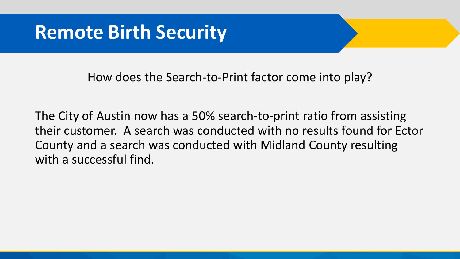How does the Search-to-Print factor come into play?

The City of Austin now has a 50% search-to-print ratio from assisting their customer. A search was conducted with no results found for Ector County and a search was conducted with Midland County resulting with a successful find.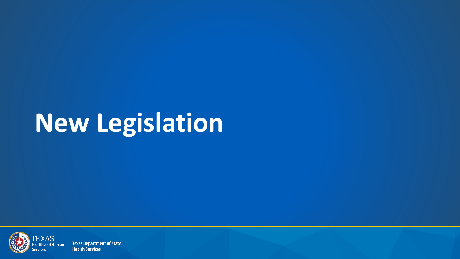## **New Legislation**



**Texas Department of State Health Services**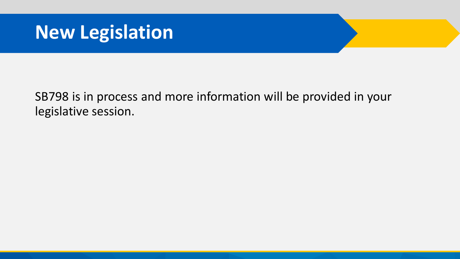#### **New Legislation**

SB798 is in process and more information will be provided in your legislative session.